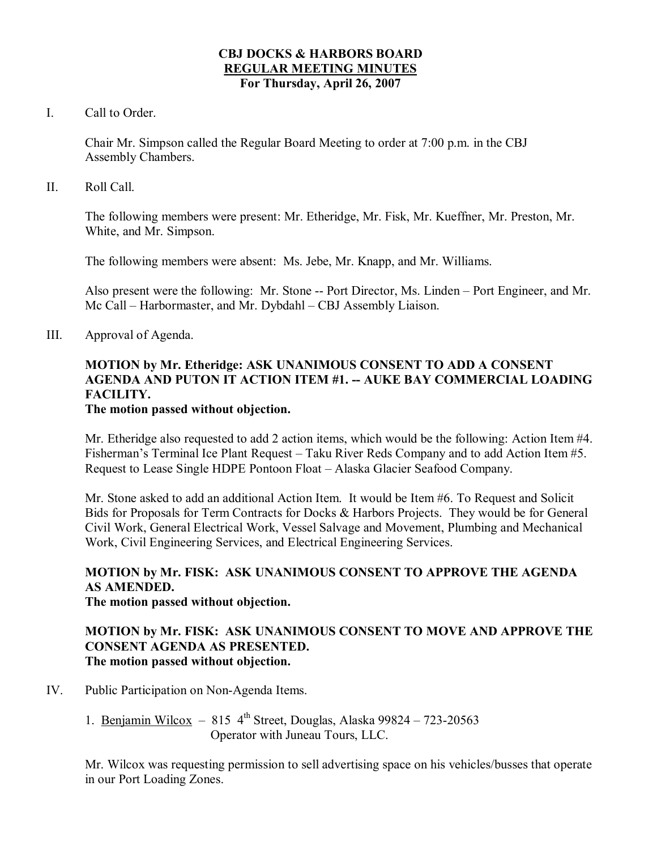#### **CBJ DOCKS & HARBORS BOARD REGULAR MEETING MINUTES For Thursday, April 26, 2007**

I. Call to Order.

Chair Mr. Simpson called the Regular Board Meeting to order at 7:00 p.m. in the CBJ Assembly Chambers.

II. Roll Call.

The following members were present: Mr. Etheridge, Mr. Fisk, Mr. Kueffner, Mr. Preston, Mr. White, and Mr. Simpson.

The following members were absent: Ms. Jebe, Mr. Knapp, and Mr. Williams.

Also present were the following: Mr. Stone -- Port Director, Ms. Linden – Port Engineer, and Mr. Mc Call – Harbormaster, and Mr. Dybdahl – CBJ Assembly Liaison.

III. Approval of Agenda.

## **MOTION by Mr. Etheridge: ASK UNANIMOUS CONSENT TO ADD A CONSENT AGENDA AND PUTON IT ACTION ITEM #1. AUKE BAY COMMERCIAL LOADING FACILITY.**

## **The motion passed without objection.**

Mr. Etheridge also requested to add 2 action items, which would be the following: Action Item #4. Fisherman's Terminal Ice Plant Request – Taku River Reds Company and to add Action Item #5. Request to Lease Single HDPE Pontoon Float – Alaska Glacier Seafood Company.

Mr. Stone asked to add an additional Action Item. It would be Item #6. To Request and Solicit Bids for Proposals for Term Contracts for Docks & Harbors Projects. They would be for General Civil Work, General Electrical Work, Vessel Salvage and Movement, Plumbing and Mechanical Work, Civil Engineering Services, and Electrical Engineering Services.

## **MOTION by Mr. FISK: ASK UNANIMOUS CONSENT TO APPROVE THE AGENDA AS AMENDED.**

## **The motion passed without objection.**

## **MOTION by Mr. FISK: ASK UNANIMOUS CONSENT TO MOVE AND APPROVE THE CONSENT AGENDA AS PRESENTED. The motion passed without objection.**

- IV. Public Participation on Non-Agenda Items.
	- 1. Benjamin Wilcox 815  $4^{th}$  Street, Douglas, Alaska 99824 723-20563 Operator with Juneau Tours, LLC.

Mr. Wilcox was requesting permission to sell advertising space on his vehicles/busses that operate in our Port Loading Zones.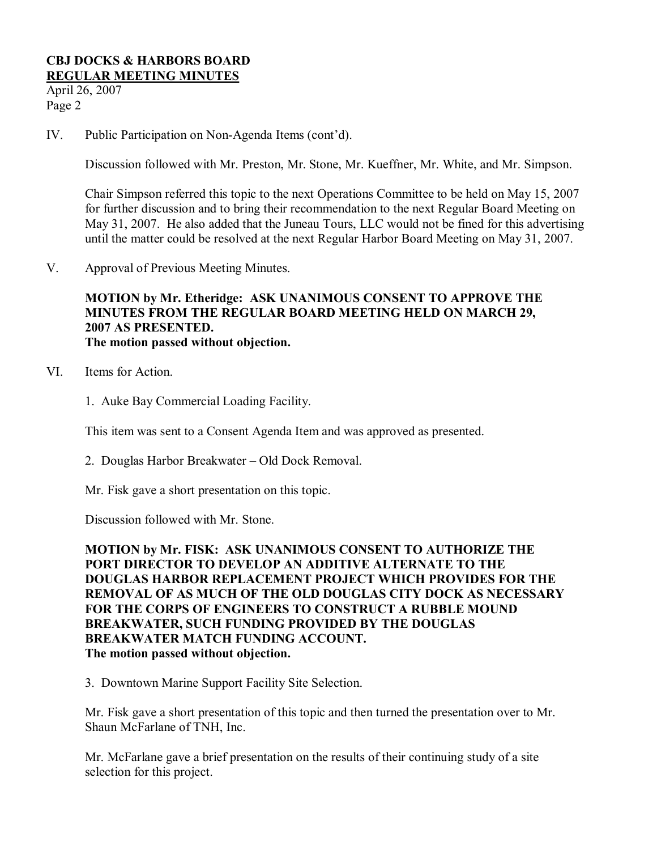April 26, 2007 Page 2

IV. Public Participation on Non-Agenda Items (cont'd).

Discussion followed with Mr. Preston, Mr. Stone, Mr. Kueffner, Mr. White, and Mr. Simpson.

Chair Simpson referred this topic to the next Operations Committee to be held on May 15, 2007 for further discussion and to bring their recommendation to the next Regular Board Meeting on May 31, 2007. He also added that the Juneau Tours, LLC would not be fined for this advertising until the matter could be resolved at the next Regular Harbor Board Meeting on May 31, 2007.

V. Approval of Previous Meeting Minutes.

## **MOTION by Mr. Etheridge: ASK UNANIMOUS CONSENT TO APPROVE THE MINUTES FROM THE REGULAR BOARD MEETING HELD ON MARCH 29, 2007 AS PRESENTED. The motion passed without objection.**

- VI. Items for Action.
	- 1. Auke Bay Commercial Loading Facility.

This item was sent to a Consent Agenda Item and was approved as presented.

2. Douglas Harbor Breakwater – Old Dock Removal.

Mr. Fisk gave a short presentation on this topic.

Discussion followed with Mr. Stone.

**MOTION by Mr. FISK: ASK UNANIMOUS CONSENT TO AUTHORIZE THE PORT DIRECTOR TO DEVELOP AN ADDITIVE ALTERNATE TO THE DOUGLAS HARBOR REPLACEMENT PROJECT WHICH PROVIDES FOR THE REMOVAL OF AS MUCH OF THE OLD DOUGLAS CITY DOCK AS NECESSARY FOR THE CORPS OF ENGINEERS TO CONSTRUCT A RUBBLE MOUND BREAKWATER, SUCH FUNDING PROVIDED BY THE DOUGLAS BREAKWATER MATCH FUNDING ACCOUNT. The motion passed without objection.**

3. Downtown Marine Support Facility Site Selection.

Mr. Fisk gave a short presentation of this topic and then turned the presentation over to Mr. Shaun McFarlane of TNH, Inc.

Mr. McFarlane gave a brief presentation on the results of their continuing study of a site selection for this project.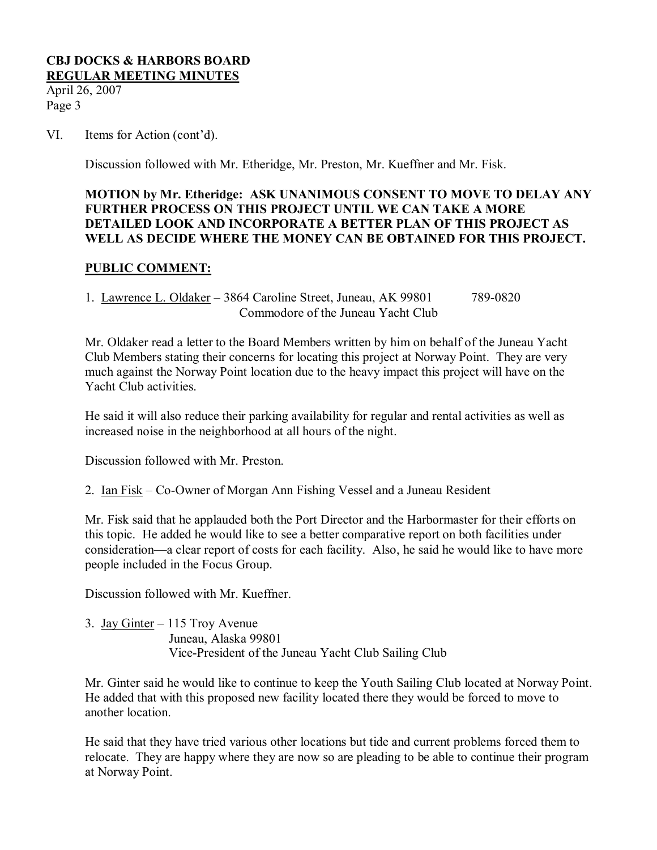April 26, 2007 Page 3

#### VI. Items for Action (cont'd).

Discussion followed with Mr. Etheridge, Mr. Preston, Mr. Kueffner and Mr. Fisk.

## **MOTION by Mr. Etheridge: ASK UNANIMOUS CONSENT TO MOVE TO DELAY ANY FURTHER PROCESS ON THIS PROJECT UNTIL WE CAN TAKE A MORE DETAILED LOOK AND INCORPORATE A BETTER PLAN OF THIS PROJECT AS WELL AS DECIDE WHERE THE MONEY CAN BE OBTAINED FOR THIS PROJECT.**

#### **PUBLIC COMMENT:**

1. Lawrence L. Oldaker – 3864 Caroline Street, Juneau, AK 99801 789-0820 Commodore of the Juneau Yacht Club

Mr. Oldaker read a letter to the Board Members written by him on behalf of the Juneau Yacht Club Members stating their concerns for locating this project at Norway Point. They are very much against the Norway Point location due to the heavy impact this project will have on the Yacht Club activities.

He said it will also reduce their parking availability for regular and rental activities as well as increased noise in the neighborhood at all hours of the night.

Discussion followed with Mr. Preston.

2. Ian Fisk – Co-Owner of Morgan Ann Fishing Vessel and a Juneau Resident

Mr. Fisk said that he applauded both the Port Director and the Harbormaster for their efforts on this topic. He added he would like to see a better comparative report on both facilities under consideration—a clear report of costs for each facility. Also, he said he would like to have more people included in the Focus Group.

Discussion followed with Mr. Kueffner.

3. Jay Ginter – 115 Troy Avenue Juneau, Alaska 99801 Vice-President of the Juneau Yacht Club Sailing Club

Mr. Ginter said he would like to continue to keep the Youth Sailing Club located at Norway Point. He added that with this proposed new facility located there they would be forced to move to another location.

He said that they have tried various other locations but tide and current problems forced them to relocate. They are happy where they are now so are pleading to be able to continue their program at Norway Point.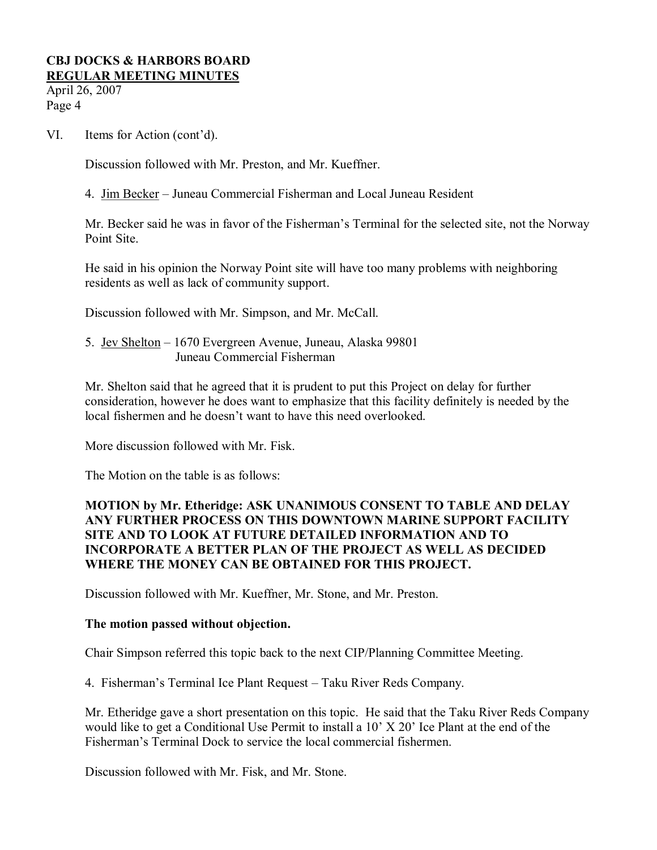April 26, 2007 Page 4

VI. Items for Action (cont'd).

Discussion followed with Mr. Preston, and Mr. Kueffner.

4. Jim Becker – Juneau Commercial Fisherman and Local Juneau Resident

Mr. Becker said he was in favor of the Fisherman's Terminal for the selected site, not the Norway Point Site.

He said in his opinion the Norway Point site will have too many problems with neighboring residents as well as lack of community support.

Discussion followed with Mr. Simpson, and Mr. McCall.

5. Jev Shelton – 1670 Evergreen Avenue, Juneau, Alaska 99801 Juneau Commercial Fisherman

Mr. Shelton said that he agreed that it is prudent to put this Project on delay for further consideration, however he does want to emphasize that this facility definitely is needed by the local fishermen and he doesn't want to have this need overlooked.

More discussion followed with Mr. Fisk.

The Motion on the table is as follows:

## **MOTION by Mr. Etheridge: ASK UNANIMOUS CONSENT TO TABLE AND DELAY ANY FURTHER PROCESS ON THIS DOWNTOWN MARINE SUPPORT FACILITY SITE AND TO LOOK AT FUTURE DETAILED INFORMATION AND TO INCORPORATE A BETTER PLAN OF THE PROJECT AS WELL AS DECIDED WHERE THE MONEY CAN BE OBTAINED FOR THIS PROJECT.**

Discussion followed with Mr. Kueffner, Mr. Stone, and Mr. Preston.

## **The motion passed without objection.**

Chair Simpson referred this topic back to the next CIP/Planning Committee Meeting.

4. Fisherman's Terminal Ice Plant Request – Taku River Reds Company.

Mr. Etheridge gave a short presentation on this topic. He said that the Taku River Reds Company would like to get a Conditional Use Permit to install a 10' X 20' Ice Plant at the end of the Fisherman's Terminal Dock to service the local commercial fishermen.

Discussion followed with Mr. Fisk, and Mr. Stone.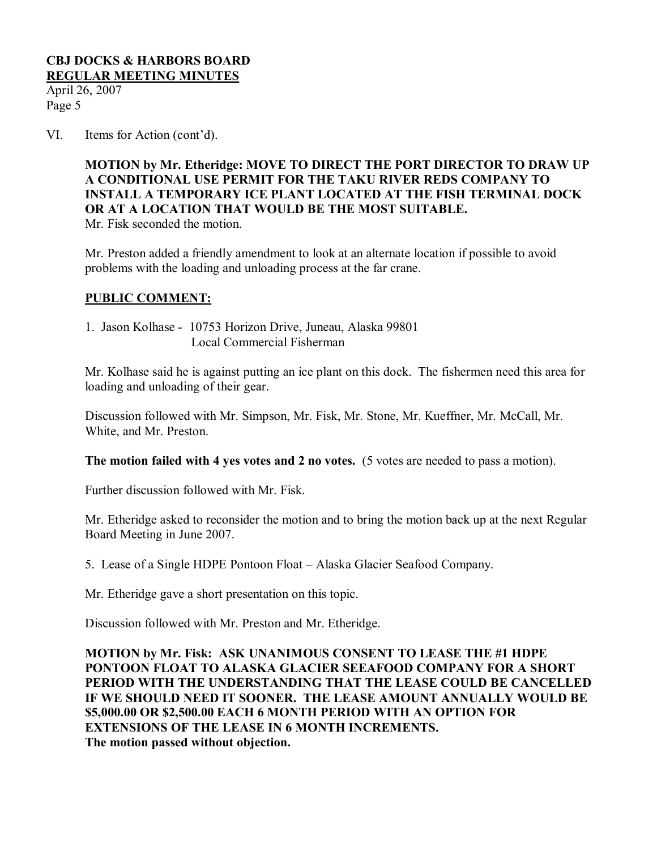April 26, 2007 Page 5

VI. Items for Action (cont'd).

**MOTION by Mr. Etheridge: MOVE TO DIRECT THE PORT DIRECTOR TO DRAW UP A CONDITIONAL USE PERMIT FOR THE TAKU RIVER REDS COMPANY TO INSTALL A TEMPORARY ICE PLANT LOCATED AT THE FISH TERMINAL DOCK OR AT A LOCATION THAT WOULD BE THE MOST SUITABLE.** Mr. Fisk seconded the motion.

Mr. Preston added a friendly amendment to look at an alternate location if possible to avoid problems with the loading and unloading process at the far crane.

## **PUBLIC COMMENT:**

1. Jason Kolhase - 10753 Horizon Drive, Juneau, Alaska 99801 Local Commercial Fisherman

Mr. Kolhase said he is against putting an ice plant on this dock. The fishermen need this area for loading and unloading of their gear.

Discussion followed with Mr. Simpson, Mr. Fisk, Mr. Stone, Mr. Kueffner, Mr. McCall, Mr. White, and Mr. Preston.

**The motion failed with 4 yes votes and 2 no votes.** (5 votes are needed to pass a motion).

Further discussion followed with Mr. Fisk.

Mr. Etheridge asked to reconsider the motion and to bring the motion back up at the next Regular Board Meeting in June 2007.

5. Lease of a Single HDPE Pontoon Float – Alaska Glacier Seafood Company.

Mr. Etheridge gave a short presentation on this topic.

Discussion followed with Mr. Preston and Mr. Etheridge.

**MOTION by Mr. Fisk: ASK UNANIMOUS CONSENT TO LEASE THE #1 HDPE PONTOON FLOAT TO ALASKA GLACIER SEEAFOOD COMPANY FOR A SHORT PERIOD WITH THE UNDERSTANDING THAT THE LEASE COULD BE CANCELLED IF WE SHOULD NEED IT SOONER. THE LEASE AMOUNT ANNUALLY WOULD BE \$5,000.00 OR \$2,500.00 EACH 6 MONTH PERIOD WITH AN OPTION FOR EXTENSIONS OF THE LEASE IN 6 MONTH INCREMENTS. The motion passed without objection.**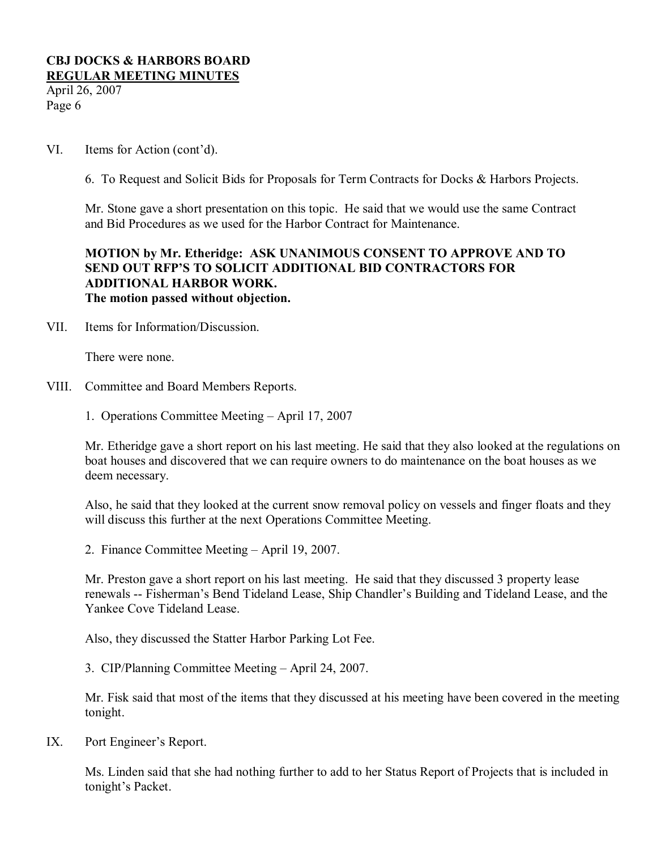April 26, 2007 Page 6

VI. Items for Action (cont'd).

6. To Request and Solicit Bids for Proposals for Term Contracts for Docks & Harbors Projects.

Mr. Stone gave a short presentation on this topic. He said that we would use the same Contract and Bid Procedures as we used for the Harbor Contract for Maintenance.

## **MOTION by Mr. Etheridge: ASK UNANIMOUS CONSENT TO APPROVE AND TO SEND OUT RFP'S TO SOLICIT ADDITIONAL BID CONTRACTORS FOR ADDITIONAL HARBOR WORK. The motion passed without objection.**

VII. Items for Information/Discussion.

There were none.

- VIII. Committee and Board Members Reports.
	- 1. Operations Committee Meeting April 17, 2007

Mr. Etheridge gave a short report on his last meeting. He said that they also looked at the regulations on boat houses and discovered that we can require owners to do maintenance on the boat houses as we deem necessary.

Also, he said that they looked at the current snow removal policy on vessels and finger floats and they will discuss this further at the next Operations Committee Meeting.

2. Finance Committee Meeting – April 19, 2007.

Mr. Preston gave a short report on his last meeting. He said that they discussed 3 property lease renewals -- Fisherman's Bend Tideland Lease, Ship Chandler's Building and Tideland Lease, and the Yankee Cove Tideland Lease.

Also, they discussed the Statter Harbor Parking Lot Fee.

3. CIP/Planning Committee Meeting – April 24, 2007.

Mr. Fisk said that most of the items that they discussed at his meeting have been covered in the meeting tonight.

IX. Port Engineer's Report.

Ms. Linden said that she had nothing further to add to her Status Report of Projects that is included in tonight's Packet.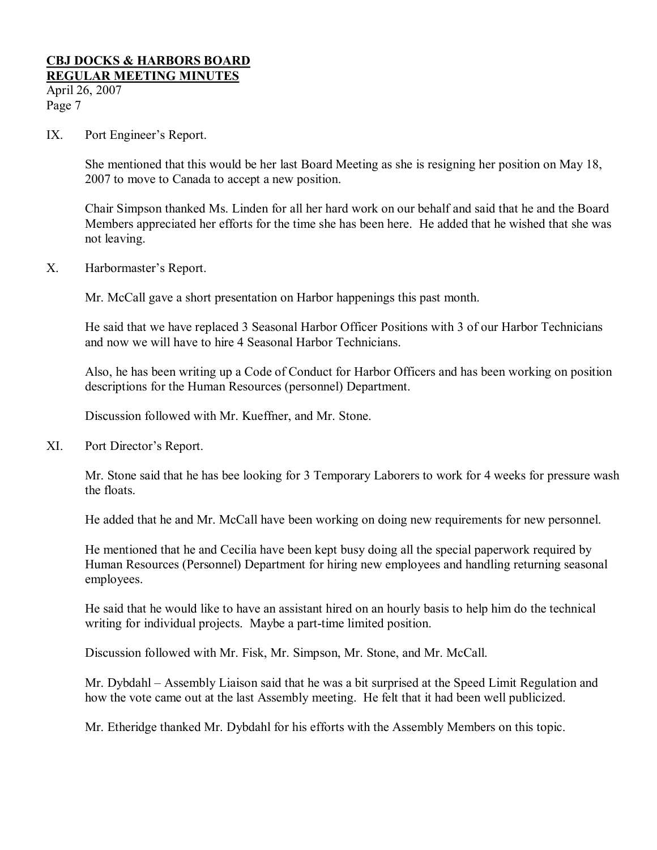# **CBJ DOCKS & HARBORS BOARD**

**REGULAR MEETING MINUTES**

April 26, 2007 Page 7

IX. Port Engineer's Report.

She mentioned that this would be her last Board Meeting as she is resigning her position on May 18, 2007 to move to Canada to accept a new position.

Chair Simpson thanked Ms. Linden for all her hard work on our behalf and said that he and the Board Members appreciated her efforts for the time she has been here. He added that he wished that she was not leaving.

X. Harbormaster's Report.

Mr. McCall gave a short presentation on Harbor happenings this past month.

He said that we have replaced 3 Seasonal Harbor Officer Positions with 3 of our Harbor Technicians and now we will have to hire 4 Seasonal Harbor Technicians.

Also, he has been writing up a Code of Conduct for Harbor Officers and has been working on position descriptions for the Human Resources (personnel) Department.

Discussion followed with Mr. Kueffner, and Mr. Stone.

XI. Port Director's Report.

Mr. Stone said that he has bee looking for 3 Temporary Laborers to work for 4 weeks for pressure wash the floats.

He added that he and Mr. McCall have been working on doing new requirements for new personnel.

He mentioned that he and Cecilia have been kept busy doing all the special paperwork required by Human Resources (Personnel) Department for hiring new employees and handling returning seasonal employees.

He said that he would like to have an assistant hired on an hourly basis to help him do the technical writing for individual projects. Maybe a part-time limited position.

Discussion followed with Mr. Fisk, Mr. Simpson, Mr. Stone, and Mr. McCall.

Mr. Dybdahl – Assembly Liaison said that he was a bit surprised at the Speed Limit Regulation and how the vote came out at the last Assembly meeting. He felt that it had been well publicized.

Mr. Etheridge thanked Mr. Dybdahl for his efforts with the Assembly Members on this topic.